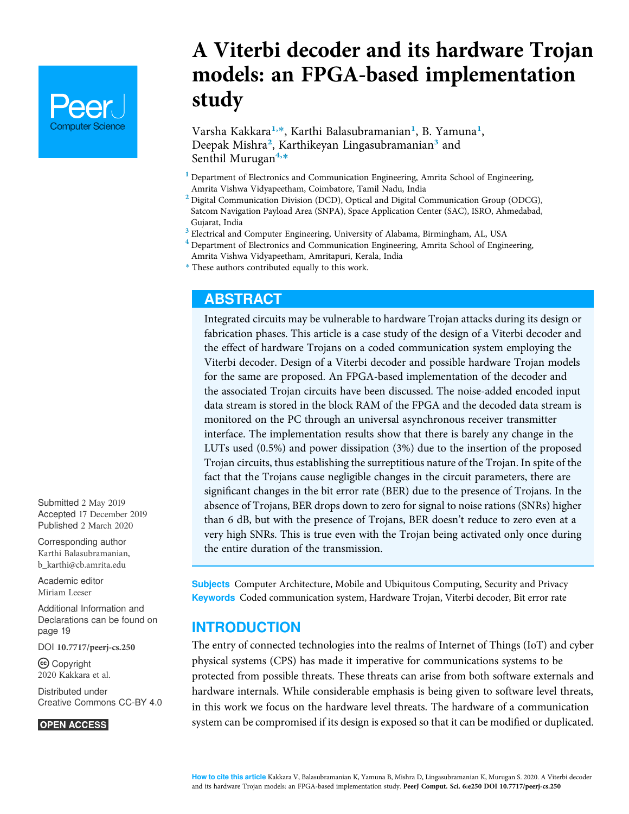# **Computer Science**

A Viterbi decoder and its hardware Trojan models: an FPGA-based implementation study

Varsha Kakkara<sup>1,</sup>\*, Karthi Balasubramanian<sup>1</sup>, B. Yamuna<sup>1</sup>, Deepak Mishra<sup>2</sup>, Karthikeyan Lingasubramanian<sup>3</sup> and Senthil Murugan<sup>4,\*</sup>

- <sup>1</sup> Department of Electronics and Communication Engineering, Amrita School of Engineering, Amrita Vishwa Vidyapeetham, Coimbatore, Tamil Nadu, India
- <sup>2</sup> Digital Communication Division (DCD), Optical and Digital Communication Group (ODCG), Satcom Navigation Payload Area (SNPA), Space Application Center (SAC), ISRO, Ahmedabad, Gujarat, India
- <sup>3</sup> Electrical and Computer Engineering, University of Alabama, Birmingham, AL, USA
- <sup>4</sup> Department of Electronics and Communication Engineering, Amrita School of Engineering, Amrita Vishwa Vidyapeetham, Amritapuri, Kerala, India
- \* These authors contributed equally to this work.

## ABSTRACT

Integrated circuits may be vulnerable to hardware Trojan attacks during its design or fabrication phases. This article is a case study of the design of a Viterbi decoder and the effect of hardware Trojans on a coded communication system employing the Viterbi decoder. Design of a Viterbi decoder and possible hardware Trojan models for the same are proposed. An FPGA-based implementation of the decoder and the associated Trojan circuits have been discussed. The noise-added encoded input data stream is stored in the block RAM of the FPGA and the decoded data stream is monitored on the PC through an universal asynchronous receiver transmitter interface. The implementation results show that there is barely any change in the LUTs used (0.5%) and power dissipation (3%) due to the insertion of the proposed Trojan circuits, thus establishing the surreptitious nature of the Trojan. In spite of the fact that the Trojans cause negligible changes in the circuit parameters, there are significant changes in the bit error rate (BER) due to the presence of Trojans. In the absence of Trojans, BER drops down to zero for signal to noise rations (SNRs) higher than 6 dB, but with the presence of Trojans, BER doesn't reduce to zero even at a very high SNRs. This is true even with the Trojan being activated only once during the entire duration of the transmission.

Subjects Computer Architecture, Mobile and Ubiquitous Computing, Security and Privacy Keywords Coded communication system, Hardware Trojan, Viterbi decoder, Bit error rate

## **INTRODUCTION**

The entry of connected technologies into the realms of Internet of Things (IoT) and cyber physical systems (CPS) has made it imperative for communications systems to be protected from possible threats. These threats can arise from both software externals and hardware internals. While considerable emphasis is being given to software level threats, in this work we focus on the hardware level threats. The hardware of a communication system can be compromised if its design is exposed so that it can be modified or duplicated.

Submitted 2 May 2019 Accepted 17 December 2019 Published 2 March 2020

Corresponding author Karthi Balasubramanian, b\_karthi@cb.amrita.edu

Academic editor Miriam Leeser

Additional Information and Declarations can be found on page 19

DOI 10.7717/peerj-cs.250

(cc) Copyright 2020 Kakkara et al.

Distributed under Creative Commons CC-BY 4.0

#### **OPEN ACCESS**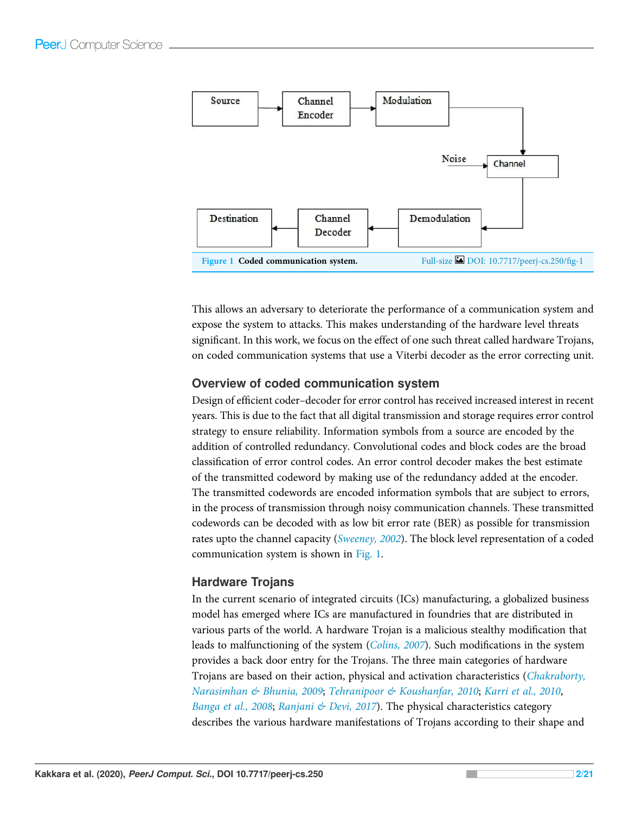

This allows an adversary to deteriorate the performance of a communication system and expose the system to attacks. This makes understanding of the hardware level threats significant. In this work, we focus on the effect of one such threat called hardware Trojans, on coded communication systems that use a Viterbi decoder as the error correcting unit.

## Overview of coded communication system

Design of efficient coder–decoder for error control has received increased interest in recent years. This is due to the fact that all digital transmission and storage requires error control strategy to ensure reliability. Information symbols from a source are encoded by the addition of controlled redundancy. Convolutional codes and block codes are the broad classification of error control codes. An error control decoder makes the best estimate of the transmitted codeword by making use of the redundancy added at the encoder. The transmitted codewords are encoded information symbols that are subject to errors, in the process of transmission through noisy communication channels. These transmitted codewords can be decoded with as low bit error rate (BER) as possible for transmission rates upto the channel capacity (*Sweeney, 2002*). The block level representation of a coded communication system is shown in Fig. 1.

## Hardware Trojans

In the current scenario of integrated circuits (ICs) manufacturing, a globalized business model has emerged where ICs are manufactured in foundries that are distributed in various parts of the world. A hardware Trojan is a malicious stealthy modification that leads to malfunctioning of the system (*Colins, 2007*). Such modifications in the system provides a back door entry for the Trojans. The three main categories of hardware Trojans are based on their action, physical and activation characteristics (*Chakraborty, Narasimhan & Bhunia, 2009*; *Tehranipoor & Koushanfar, 2010*; *Karri et al., 2010*, *Banga et al., 2008*; *Ranjani & Devi, 2017*). The physical characteristics category describes the various hardware manifestations of Trojans according to their shape and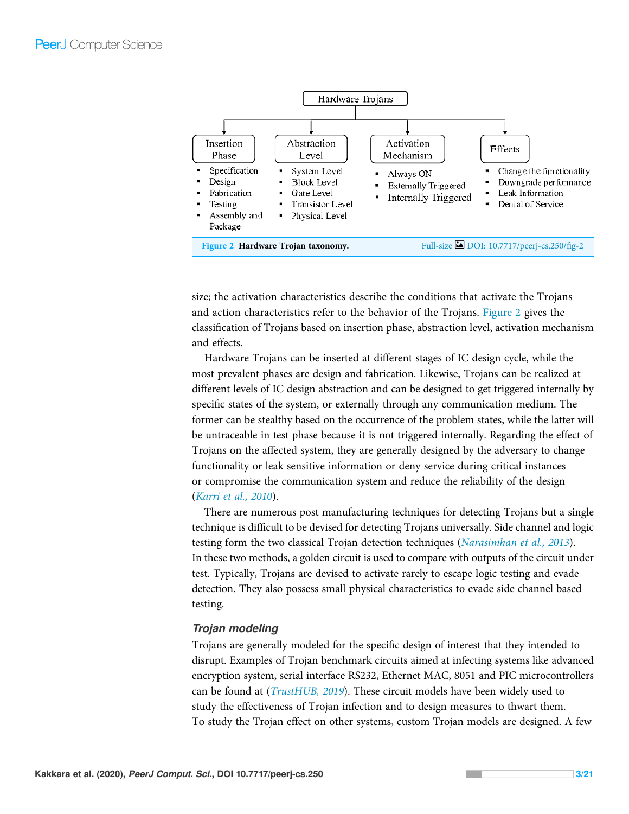

size; the activation characteristics describe the conditions that activate the Trojans and action characteristics refer to the behavior of the Trojans. Figure 2 gives the classification of Trojans based on insertion phase, abstraction level, activation mechanism and effects.

Hardware Trojans can be inserted at different stages of IC design cycle, while the most prevalent phases are design and fabrication. Likewise, Trojans can be realized at different levels of IC design abstraction and can be designed to get triggered internally by specific states of the system, or externally through any communication medium. The former can be stealthy based on the occurrence of the problem states, while the latter will be untraceable in test phase because it is not triggered internally. Regarding the effect of Trojans on the affected system, they are generally designed by the adversary to change functionality or leak sensitive information or deny service during critical instances or compromise the communication system and reduce the reliability of the design (*Karri et al., 2010*).

There are numerous post manufacturing techniques for detecting Trojans but a single technique is difficult to be devised for detecting Trojans universally. Side channel and logic testing form the two classical Trojan detection techniques (*Narasimhan et al., 2013*). In these two methods, a golden circuit is used to compare with outputs of the circuit under test. Typically, Trojans are devised to activate rarely to escape logic testing and evade detection. They also possess small physical characteristics to evade side channel based testing.

#### Trojan modeling

Trojans are generally modeled for the specific design of interest that they intended to disrupt. Examples of Trojan benchmark circuits aimed at infecting systems like advanced encryption system, serial interface RS232, Ethernet MAC, 8051 and PIC microcontrollers can be found at (*TrustHUB, 2019*). These circuit models have been widely used to study the effectiveness of Trojan infection and to design measures to thwart them. To study the Trojan effect on other systems, custom Trojan models are designed. A few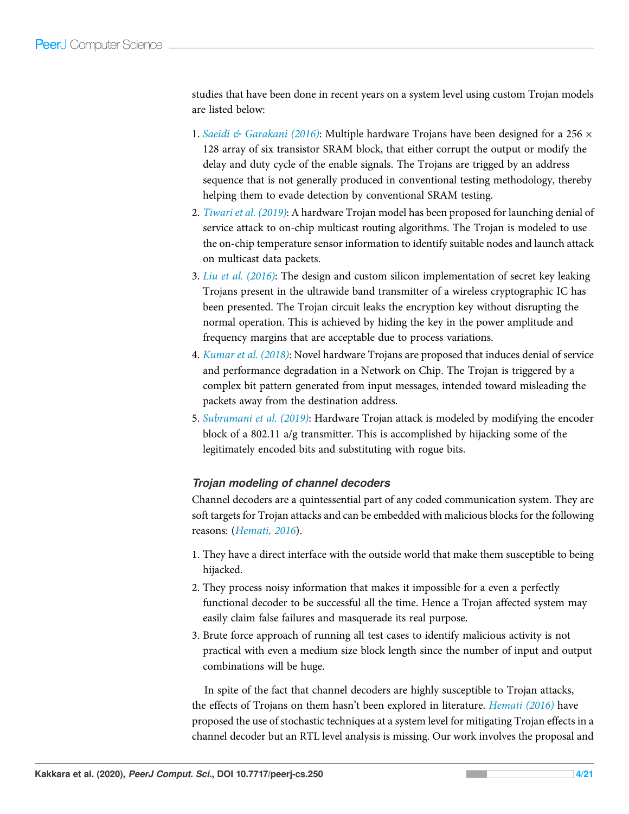studies that have been done in recent years on a system level using custom Trojan models are listed below:

- 1. *Saeidi & Garakani (2016)*: Multiple hardware Trojans have been designed for a 256 × 128 array of six transistor SRAM block, that either corrupt the output or modify the delay and duty cycle of the enable signals. The Trojans are trigged by an address sequence that is not generally produced in conventional testing methodology, thereby helping them to evade detection by conventional SRAM testing.
- 2. *Tiwari et al. (2019)*: A hardware Trojan model has been proposed for launching denial of service attack to on-chip multicast routing algorithms. The Trojan is modeled to use the on-chip temperature sensor information to identify suitable nodes and launch attack on multicast data packets.
- 3. *Liu et al. (2016)*: The design and custom silicon implementation of secret key leaking Trojans present in the ultrawide band transmitter of a wireless cryptographic IC has been presented. The Trojan circuit leaks the encryption key without disrupting the normal operation. This is achieved by hiding the key in the power amplitude and frequency margins that are acceptable due to process variations.
- 4. *Kumar et al. (2018)*: Novel hardware Trojans are proposed that induces denial of service and performance degradation in a Network on Chip. The Trojan is triggered by a complex bit pattern generated from input messages, intended toward misleading the packets away from the destination address.
- 5. *Subramani et al. (2019)*: Hardware Trojan attack is modeled by modifying the encoder block of a 802.11 a/g transmitter. This is accomplished by hijacking some of the legitimately encoded bits and substituting with rogue bits.

## Trojan modeling of channel decoders

Channel decoders are a quintessential part of any coded communication system. They are soft targets for Trojan attacks and can be embedded with malicious blocks for the following reasons: (*Hemati, 2016*).

- 1. They have a direct interface with the outside world that make them susceptible to being hijacked.
- 2. They process noisy information that makes it impossible for a even a perfectly functional decoder to be successful all the time. Hence a Trojan affected system may easily claim false failures and masquerade its real purpose.
- 3. Brute force approach of running all test cases to identify malicious activity is not practical with even a medium size block length since the number of input and output combinations will be huge.

In spite of the fact that channel decoders are highly susceptible to Trojan attacks, the effects of Trojans on them hasn't been explored in literature. *Hemati (2016)* have proposed the use of stochastic techniques at a system level for mitigating Trojan effects in a channel decoder but an RTL level analysis is missing. Our work involves the proposal and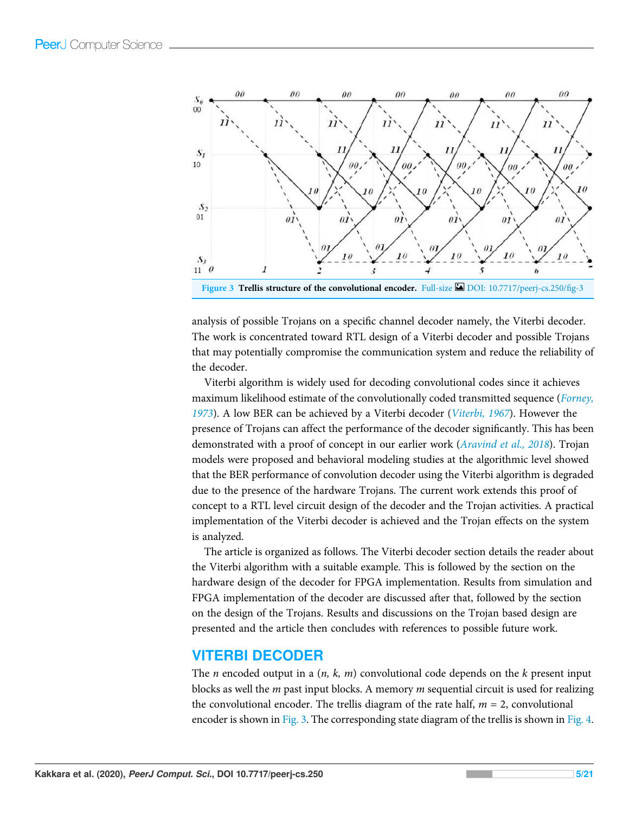

Figure 3 Trellis structure of the convolutional encoder. Full-size **D**OI: 10.7717/peerj-cs.250/fig-3

analysis of possible Trojans on a specific channel decoder namely, the Viterbi decoder. The work is concentrated toward RTL design of a Viterbi decoder and possible Trojans that may potentially compromise the communication system and reduce the reliability of the decoder.

Viterbi algorithm is widely used for decoding convolutional codes since it achieves maximum likelihood estimate of the convolutionally coded transmitted sequence (*Forney, 1973*). A low BER can be achieved by a Viterbi decoder (*Viterbi, 1967*). However the presence of Trojans can affect the performance of the decoder significantly. This has been demonstrated with a proof of concept in our earlier work (*Aravind et al., 2018*). Trojan models were proposed and behavioral modeling studies at the algorithmic level showed that the BER performance of convolution decoder using the Viterbi algorithm is degraded due to the presence of the hardware Trojans. The current work extends this proof of concept to a RTL level circuit design of the decoder and the Trojan activities. A practical implementation of the Viterbi decoder is achieved and the Trojan effects on the system is analyzed.

The article is organized as follows. The Viterbi decoder section details the reader about the Viterbi algorithm with a suitable example. This is followed by the section on the hardware design of the decoder for FPGA implementation. Results from simulation and FPGA implementation of the decoder are discussed after that, followed by the section on the design of the Trojans. Results and discussions on the Trojan based design are presented and the article then concludes with references to possible future work.

## VITERBI DECODER

The *n* encoded output in a (*n, k, m*) convolutional code depends on the *k* present input blocks as well the *m* past input blocks. A memory *m* sequential circuit is used for realizing the convolutional encoder. The trellis diagram of the rate half,  $m = 2$ , convolutional encoder is shown in Fig. 3. The corresponding state diagram of the trellis is shown in Fig. 4.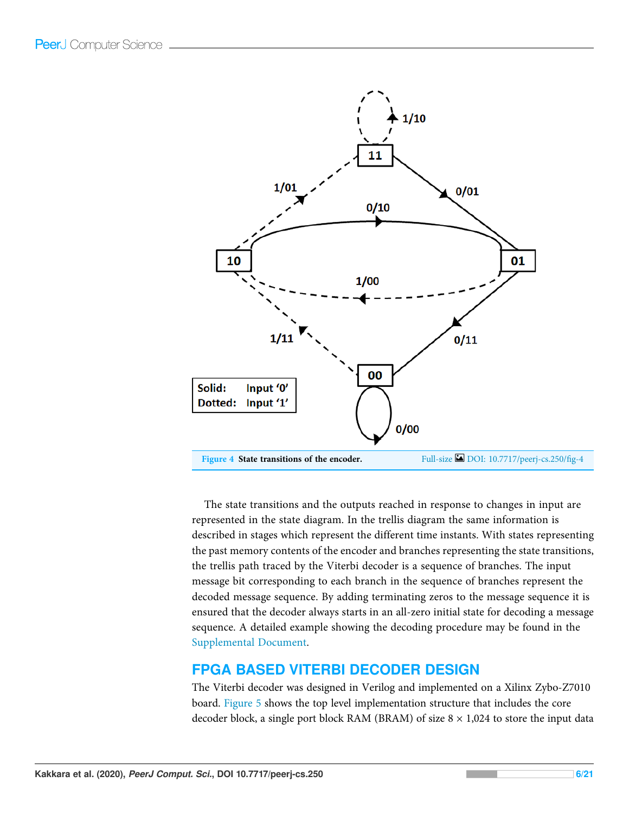

The state transitions and the outputs reached in response to changes in input are represented in the state diagram. In the trellis diagram the same information is described in stages which represent the different time instants. With states representing the past memory contents of the encoder and branches representing the state transitions, the trellis path traced by the Viterbi decoder is a sequence of branches. The input message bit corresponding to each branch in the sequence of branches represent the decoded message sequence. By adding terminating zeros to the message sequence it is ensured that the decoder always starts in an all-zero initial state for decoding a message sequence. A detailed example showing the decoding procedure may be found in the Supplemental Document.

## FPGA BASED VITERBI DECODER DESIGN

The Viterbi decoder was designed in Verilog and implemented on a Xilinx Zybo-Z7010 board. Figure 5 shows the top level implementation structure that includes the core decoder block, a single port block RAM (BRAM) of size  $8 \times 1,024$  to store the input data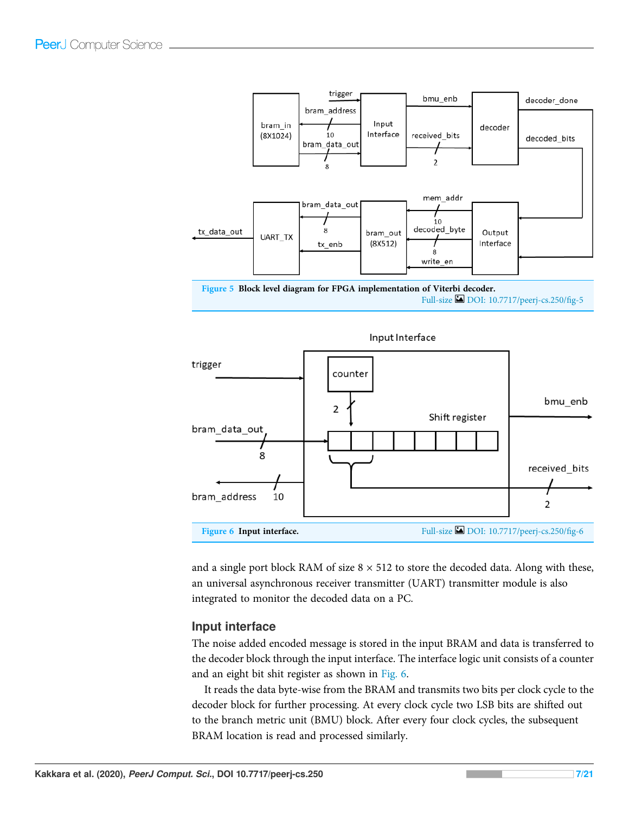



and a single port block RAM of size  $8 \times 512$  to store the decoded data. Along with these, an universal asynchronous receiver transmitter (UART) transmitter module is also integrated to monitor the decoded data on a PC.

#### Input interface

The noise added encoded message is stored in the input BRAM and data is transferred to the decoder block through the input interface. The interface logic unit consists of a counter and an eight bit shit register as shown in Fig. 6.

It reads the data byte-wise from the BRAM and transmits two bits per clock cycle to the decoder block for further processing. At every clock cycle two LSB bits are shifted out to the branch metric unit (BMU) block. After every four clock cycles, the subsequent BRAM location is read and processed similarly.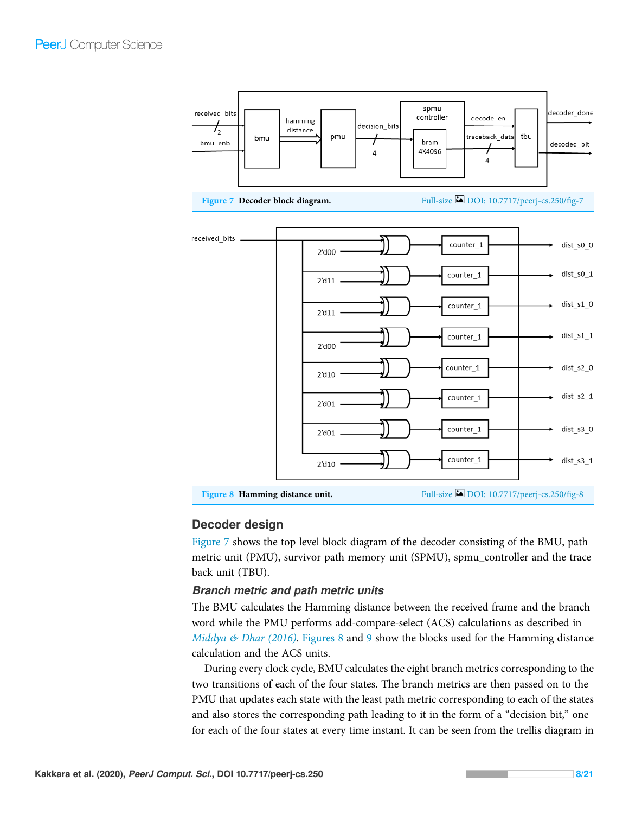

## Decoder design

Figure 7 shows the top level block diagram of the decoder consisting of the BMU, path metric unit (PMU), survivor path memory unit (SPMU), spmu\_controller and the trace back unit (TBU).

#### Branch metric and path metric units

The BMU calculates the Hamming distance between the received frame and the branch word while the PMU performs add-compare-select (ACS) calculations as described in *Middya & Dhar (2016)*. Figures 8 and 9 show the blocks used for the Hamming distance calculation and the ACS units.

During every clock cycle, BMU calculates the eight branch metrics corresponding to the two transitions of each of the four states. The branch metrics are then passed on to the PMU that updates each state with the least path metric corresponding to each of the states and also stores the corresponding path leading to it in the form of a "decision bit," one for each of the four states at every time instant. It can be seen from the trellis diagram in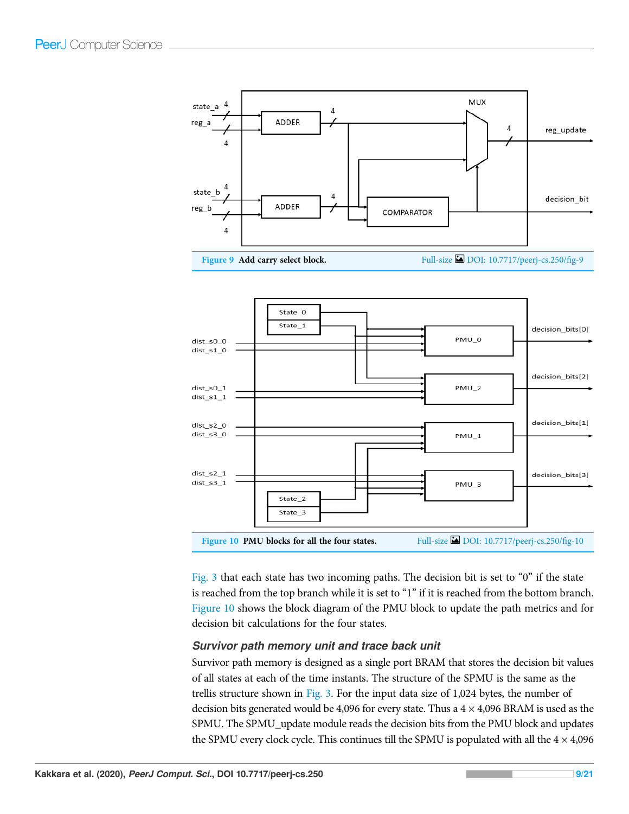



Fig. 3 that each state has two incoming paths. The decision bit is set to "0" if the state is reached from the top branch while it is set to "1" if it is reached from the bottom branch. Figure 10 shows the block diagram of the PMU block to update the path metrics and for decision bit calculations for the four states.

#### Survivor path memory unit and trace back unit

Survivor path memory is designed as a single port BRAM that stores the decision bit values of all states at each of the time instants. The structure of the SPMU is the same as the trellis structure shown in Fig. 3. For the input data size of 1,024 bytes, the number of decision bits generated would be 4,096 for every state. Thus a  $4 \times 4,096$  BRAM is used as the SPMU. The SPMU\_update module reads the decision bits from the PMU block and updates the SPMU every clock cycle. This continues till the SPMU is populated with all the  $4 \times 4,096$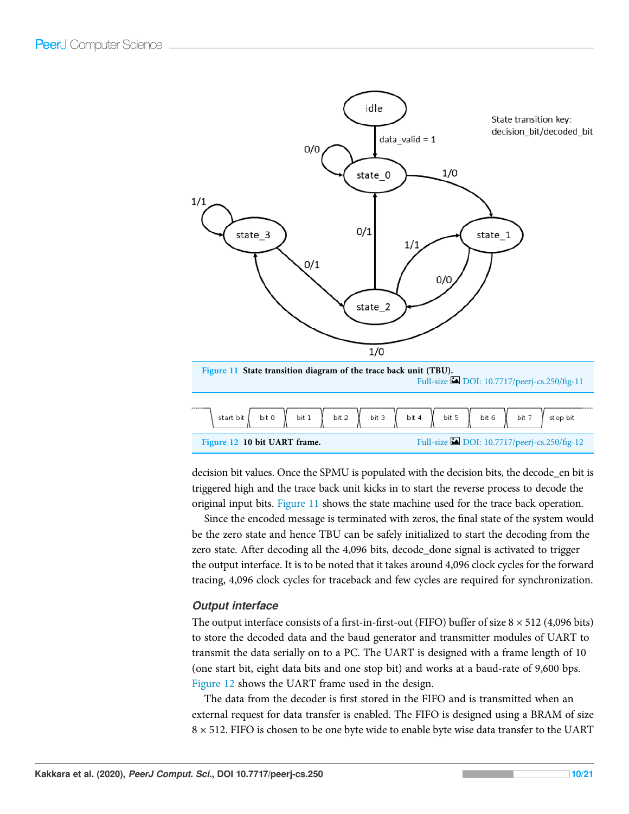

decision bit values. Once the SPMU is populated with the decision bits, the decode\_en bit is triggered high and the trace back unit kicks in to start the reverse process to decode the original input bits. Figure 11 shows the state machine used for the trace back operation.

Since the encoded message is terminated with zeros, the final state of the system would be the zero state and hence TBU can be safely initialized to start the decoding from the zero state. After decoding all the 4,096 bits, decode\_done signal is activated to trigger the output interface. It is to be noted that it takes around 4,096 clock cycles for the forward tracing, 4,096 clock cycles for traceback and few cycles are required for synchronization.

#### Output interface

The output interface consists of a first-in-first-out (FIFO) buffer of size  $8 \times 512$  (4,096 bits) to store the decoded data and the baud generator and transmitter modules of UART to transmit the data serially on to a PC. The UART is designed with a frame length of 10 (one start bit, eight data bits and one stop bit) and works at a baud-rate of 9,600 bps. Figure 12 shows the UART frame used in the design.

The data from the decoder is first stored in the FIFO and is transmitted when an external request for data transfer is enabled. The FIFO is designed using a BRAM of size  $8 \times 512$ . FIFO is chosen to be one byte wide to enable byte wise data transfer to the UART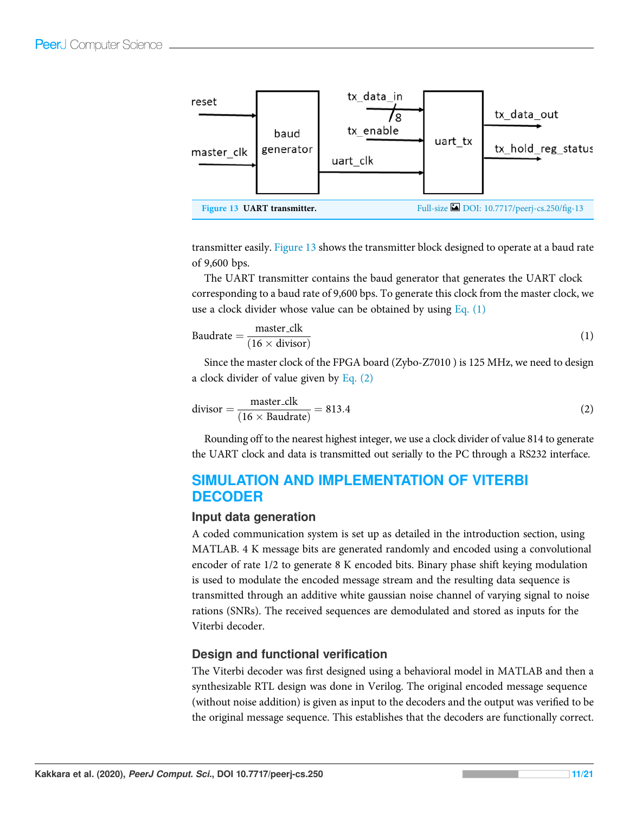

transmitter easily. Figure 13 shows the transmitter block designed to operate at a baud rate of 9,600 bps.

The UART transmitter contains the baud generator that generates the UART clock corresponding to a baud rate of 9,600 bps. To generate this clock from the master clock, we use a clock divider whose value can be obtained by using Eq.  $(1)$ 

Baudrate = 
$$
\frac{\text{master}.\text{clk}}{(16 \times \text{divisor})}
$$
 (1)

Since the master clock of the FPGA board (Zybo-Z7010 ) is 125 MHz, we need to design a clock divider of value given by Eq. (2)

$$
divisor = \frac{master\_clk}{(16 \times Baudrate)} = 813.4
$$
 (2)

Rounding off to the nearest highest integer, we use a clock divider of value 814 to generate the UART clock and data is transmitted out serially to the PC through a RS232 interface.

# SIMULATION AND IMPLEMENTATION OF VITERBI DECODER

#### Input data generation

A coded communication system is set up as detailed in the introduction section, using MATLAB. 4 K message bits are generated randomly and encoded using a convolutional encoder of rate 1/2 to generate 8 K encoded bits. Binary phase shift keying modulation is used to modulate the encoded message stream and the resulting data sequence is transmitted through an additive white gaussian noise channel of varying signal to noise rations (SNRs). The received sequences are demodulated and stored as inputs for the Viterbi decoder.

## Design and functional verification

The Viterbi decoder was first designed using a behavioral model in MATLAB and then a synthesizable RTL design was done in Verilog. The original encoded message sequence (without noise addition) is given as input to the decoders and the output was verified to be the original message sequence. This establishes that the decoders are functionally correct.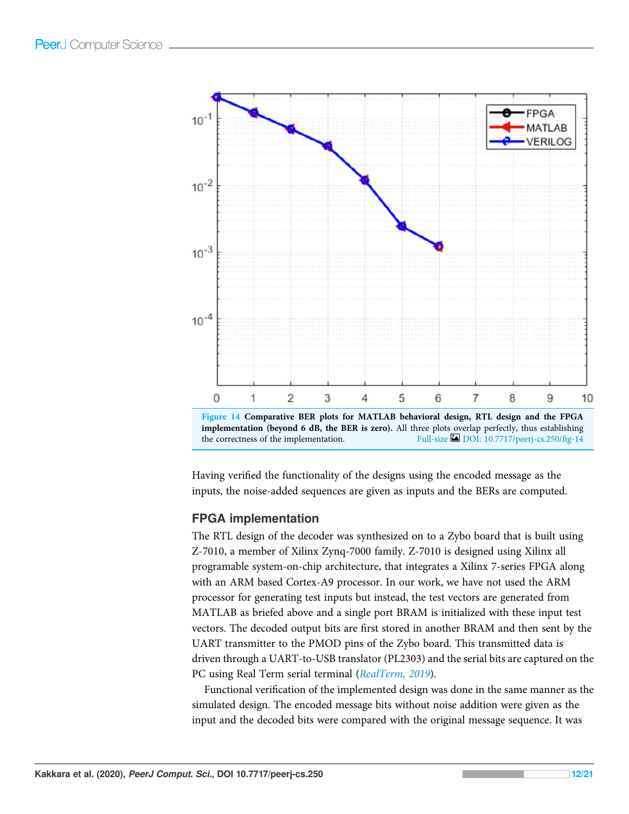

Having verified the functionality of the designs using the encoded message as the inputs, the noise-added sequences are given as inputs and the BERs are computed.

## FPGA implementation

The RTL design of the decoder was synthesized on to a Zybo board that is built using Z-7010, a member of Xilinx Zynq-7000 family. Z-7010 is designed using Xilinx all programable system-on-chip architecture, that integrates a Xilinx 7-series FPGA along with an ARM based Cortex-A9 processor. In our work, we have not used the ARM processor for generating test inputs but instead, the test vectors are generated from MATLAB as briefed above and a single port BRAM is initialized with these input test vectors. The decoded output bits are first stored in another BRAM and then sent by the UART transmitter to the PMOD pins of the Zybo board. This transmitted data is driven through a UART-to-USB translator (PL2303) and the serial bits are captured on the PC using Real Term serial terminal (*RealTerm, 2019*).

Functional verification of the implemented design was done in the same manner as the simulated design. The encoded message bits without noise addition were given as the input and the decoded bits were compared with the original message sequence. It was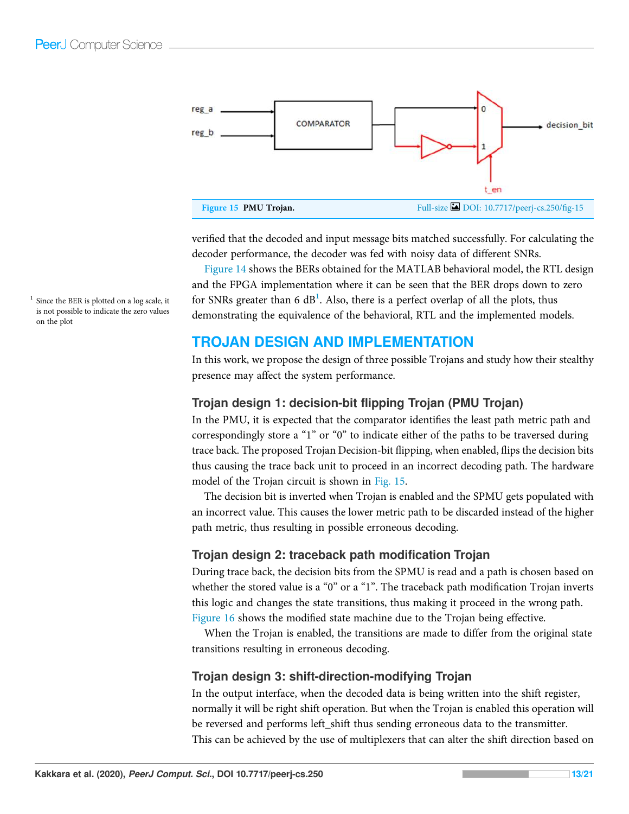

verified that the decoded and input message bits matched successfully. For calculating the decoder performance, the decoder was fed with noisy data of different SNRs.

Figure 14 shows the BERs obtained for the MATLAB behavioral model, the RTL design and the FPGA implementation where it can be seen that the BER drops down to zero for SNRs greater than 6  $dB<sup>1</sup>$ . Also, there is a perfect overlap of all the plots, thus demonstrating the equivalence of the behavioral, RTL and the implemented models.

# TROJAN DESIGN AND IMPLEMENTATION

In this work, we propose the design of three possible Trojans and study how their stealthy presence may affect the system performance.

## Trojan design 1: decision-bit flipping Trojan (PMU Trojan)

In the PMU, it is expected that the comparator identifies the least path metric path and correspondingly store a "1" or "0" to indicate either of the paths to be traversed during trace back. The proposed Trojan Decision-bit flipping, when enabled, flips the decision bits thus causing the trace back unit to proceed in an incorrect decoding path. The hardware model of the Trojan circuit is shown in Fig. 15.

The decision bit is inverted when Trojan is enabled and the SPMU gets populated with an incorrect value. This causes the lower metric path to be discarded instead of the higher path metric, thus resulting in possible erroneous decoding.

## Trojan design 2: traceback path modification Trojan

During trace back, the decision bits from the SPMU is read and a path is chosen based on whether the stored value is a "0" or a "1". The traceback path modification Trojan inverts this logic and changes the state transitions, thus making it proceed in the wrong path. Figure 16 shows the modified state machine due to the Trojan being effective.

When the Trojan is enabled, the transitions are made to differ from the original state transitions resulting in erroneous decoding.

## Trojan design 3: shift-direction-modifying Trojan

In the output interface, when the decoded data is being written into the shift register, normally it will be right shift operation. But when the Trojan is enabled this operation will be reversed and performs left\_shift thus sending erroneous data to the transmitter. This can be achieved by the use of multiplexers that can alter the shift direction based on

Since the BER is plotted on a log scale, it is not possible to indicate the zero values on the plot

1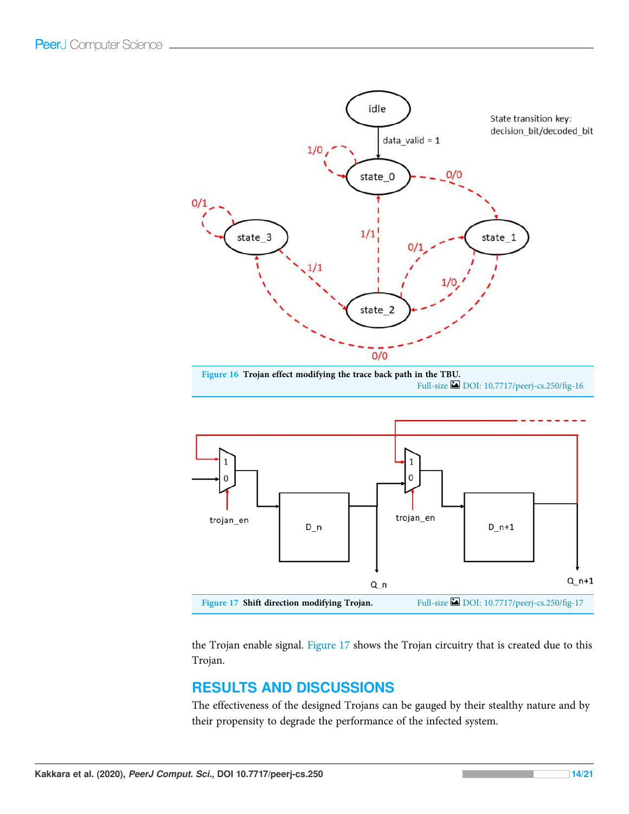

Figure 16 Trojan effect modifying the trace back path in the TBU. Full-size DOI: 10.7717/peerj-cs.250/fig-16



the Trojan enable signal. Figure 17 shows the Trojan circuitry that is created due to this Trojan.

# RESULTS AND DISCUSSIONS

The effectiveness of the designed Trojans can be gauged by their stealthy nature and by their propensity to degrade the performance of the infected system.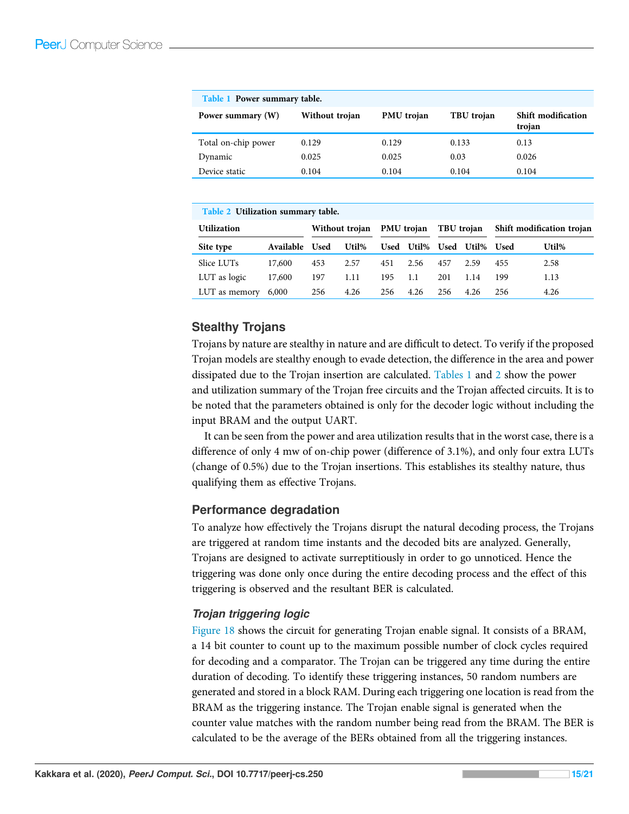| Table 1 Power summary table. |                |                   |            |                              |  |  |  |  |  |  |
|------------------------------|----------------|-------------------|------------|------------------------------|--|--|--|--|--|--|
| Power summary (W)            | Without trojan | <b>PMU</b> trojan | TBU trojan | Shift modification<br>trojan |  |  |  |  |  |  |
| Total on-chip power          | 0.129          | 0.129             | 0.133      | 0.13                         |  |  |  |  |  |  |
| Dynamic                      | 0.025          | 0.025             | 0.03       | 0.026                        |  |  |  |  |  |  |
| Device static                | 0.104          | 0.104             | 0.104      | 0.104                        |  |  |  |  |  |  |

| Table 2 Utilization summary table. |                  |                |       |                   |            |            |            |                           |       |  |  |  |
|------------------------------------|------------------|----------------|-------|-------------------|------------|------------|------------|---------------------------|-------|--|--|--|
| <b>Utilization</b>                 |                  | Without troian |       | <b>PMU</b> trojan |            | TBU trojan |            | Shift modification trojan |       |  |  |  |
| Site type                          | <b>Available</b> | <b>Used</b>    | Util% |                   | Used Util% |            | Used Util% | <b>Used</b>               | Util% |  |  |  |
| Slice LUTs                         | 17,600           | 453            | 2.57  | 451               | 2.56       | 457        | 2.59       | 455                       | 2.58  |  |  |  |
| LUT as logic                       | 17,600           | 197            | 1.11  | 195               | 1.1        | 201        | 1.14       | 199                       | 1.13  |  |  |  |
| LUT as memory                      | 6,000            | 256            | 4.26  | 256               | 4.26       | 256        | 4.26       | 256                       | 4.26  |  |  |  |

# Stealthy Trojans

Trojans by nature are stealthy in nature and are difficult to detect. To verify if the proposed Trojan models are stealthy enough to evade detection, the difference in the area and power dissipated due to the Trojan insertion are calculated. Tables 1 and 2 show the power and utilization summary of the Trojan free circuits and the Trojan affected circuits. It is to be noted that the parameters obtained is only for the decoder logic without including the input BRAM and the output UART.

It can be seen from the power and area utilization results that in the worst case, there is a difference of only 4 mw of on-chip power (difference of 3.1%), and only four extra LUTs (change of 0.5%) due to the Trojan insertions. This establishes its stealthy nature, thus qualifying them as effective Trojans.

## Performance degradation

To analyze how effectively the Trojans disrupt the natural decoding process, the Trojans are triggered at random time instants and the decoded bits are analyzed. Generally, Trojans are designed to activate surreptitiously in order to go unnoticed. Hence the triggering was done only once during the entire decoding process and the effect of this triggering is observed and the resultant BER is calculated.

## Trojan triggering logic

Figure 18 shows the circuit for generating Trojan enable signal. It consists of a BRAM, a 14 bit counter to count up to the maximum possible number of clock cycles required for decoding and a comparator. The Trojan can be triggered any time during the entire duration of decoding. To identify these triggering instances, 50 random numbers are generated and stored in a block RAM. During each triggering one location is read from the BRAM as the triggering instance. The Trojan enable signal is generated when the counter value matches with the random number being read from the BRAM. The BER is calculated to be the average of the BERs obtained from all the triggering instances.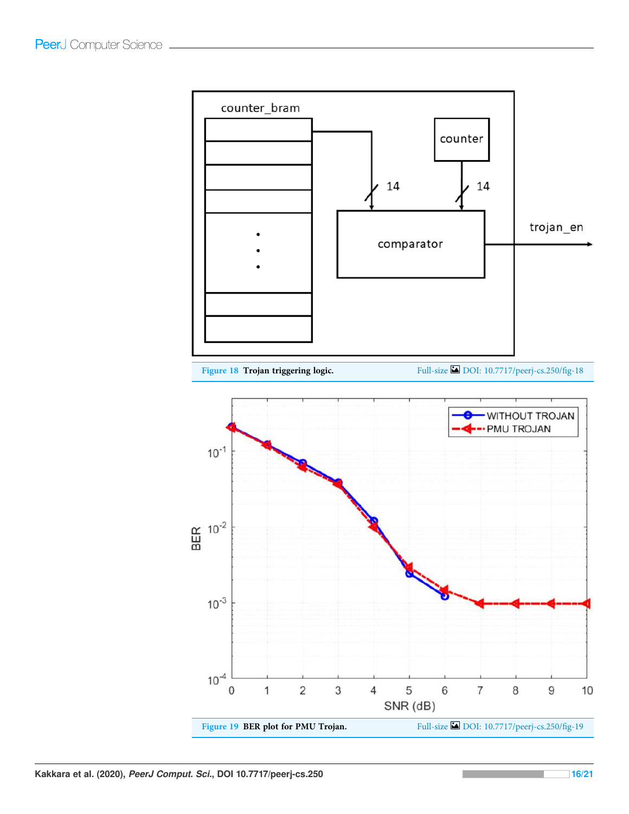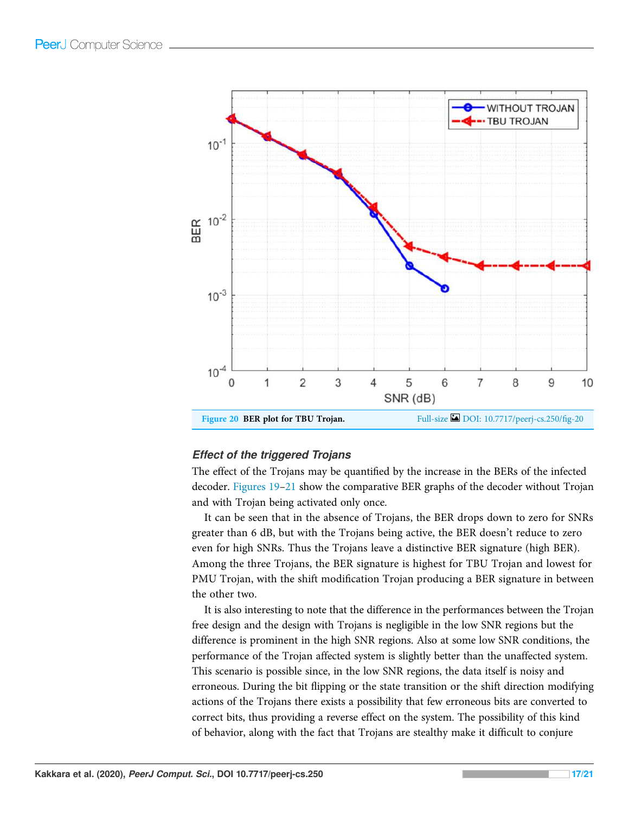

#### Effect of the triggered Trojans

The effect of the Trojans may be quantified by the increase in the BERs of the infected decoder. Figures 19–21 show the comparative BER graphs of the decoder without Trojan and with Trojan being activated only once.

It can be seen that in the absence of Trojans, the BER drops down to zero for SNRs greater than 6 dB, but with the Trojans being active, the BER doesn't reduce to zero even for high SNRs. Thus the Trojans leave a distinctive BER signature (high BER). Among the three Trojans, the BER signature is highest for TBU Trojan and lowest for PMU Trojan, with the shift modification Trojan producing a BER signature in between the other two.

It is also interesting to note that the difference in the performances between the Trojan free design and the design with Trojans is negligible in the low SNR regions but the difference is prominent in the high SNR regions. Also at some low SNR conditions, the performance of the Trojan affected system is slightly better than the unaffected system. This scenario is possible since, in the low SNR regions, the data itself is noisy and erroneous. During the bit flipping or the state transition or the shift direction modifying actions of the Trojans there exists a possibility that few erroneous bits are converted to correct bits, thus providing a reverse effect on the system. The possibility of this kind of behavior, along with the fact that Trojans are stealthy make it difficult to conjure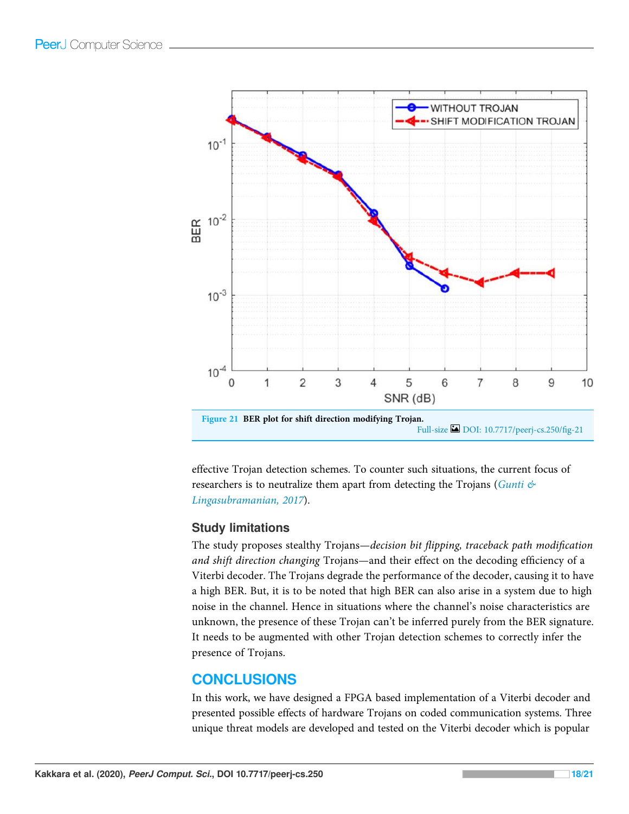

effective Trojan detection schemes. To counter such situations, the current focus of researchers is to neutralize them apart from detecting the Trojans (*Gunti & Lingasubramanian, 2017*).

## Study limitations

The study proposes stealthy Trojans—*decision bit* fl*ipping, traceback path modi*fi*cation and shift direction changing* Trojans—and their effect on the decoding efficiency of a Viterbi decoder. The Trojans degrade the performance of the decoder, causing it to have a high BER. But, it is to be noted that high BER can also arise in a system due to high noise in the channel. Hence in situations where the channel's noise characteristics are unknown, the presence of these Trojan can't be inferred purely from the BER signature. It needs to be augmented with other Trojan detection schemes to correctly infer the presence of Trojans.

# **CONCLUSIONS**

In this work, we have designed a FPGA based implementation of a Viterbi decoder and presented possible effects of hardware Trojans on coded communication systems. Three unique threat models are developed and tested on the Viterbi decoder which is popular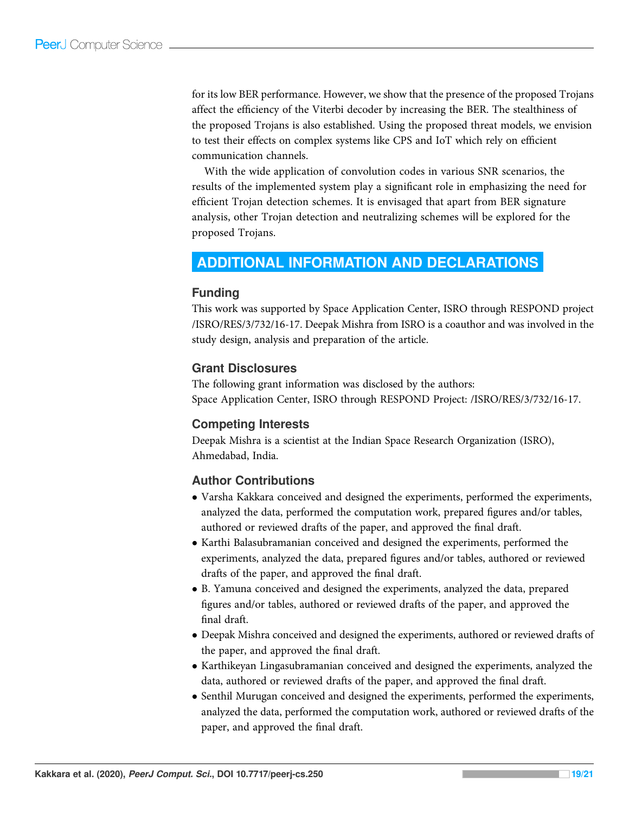for its low BER performance. However, we show that the presence of the proposed Trojans affect the efficiency of the Viterbi decoder by increasing the BER. The stealthiness of the proposed Trojans is also established. Using the proposed threat models, we envision to test their effects on complex systems like CPS and IoT which rely on efficient communication channels.

With the wide application of convolution codes in various SNR scenarios, the results of the implemented system play a significant role in emphasizing the need for efficient Trojan detection schemes. It is envisaged that apart from BER signature analysis, other Trojan detection and neutralizing schemes will be explored for the proposed Trojans.

# ADDITIONAL INFORMATION AND DECLARATIONS

## Funding

This work was supported by Space Application Center, ISRO through RESPOND project /ISRO/RES/3/732/16-17. Deepak Mishra from ISRO is a coauthor and was involved in the study design, analysis and preparation of the article.

## Grant Disclosures

The following grant information was disclosed by the authors: Space Application Center, ISRO through RESPOND Project: /ISRO/RES/3/732/16-17.

## Competing Interests

Deepak Mishra is a scientist at the Indian Space Research Organization (ISRO), Ahmedabad, India.

# Author Contributions

- Varsha Kakkara conceived and designed the experiments, performed the experiments, analyzed the data, performed the computation work, prepared figures and/or tables, authored or reviewed drafts of the paper, and approved the final draft.
- Karthi Balasubramanian conceived and designed the experiments, performed the experiments, analyzed the data, prepared figures and/or tables, authored or reviewed drafts of the paper, and approved the final draft.
- B. Yamuna conceived and designed the experiments, analyzed the data, prepared figures and/or tables, authored or reviewed drafts of the paper, and approved the final draft.
- Deepak Mishra conceived and designed the experiments, authored or reviewed drafts of the paper, and approved the final draft.
- Karthikeyan Lingasubramanian conceived and designed the experiments, analyzed the data, authored or reviewed drafts of the paper, and approved the final draft.
- Senthil Murugan conceived and designed the experiments, performed the experiments, analyzed the data, performed the computation work, authored or reviewed drafts of the paper, and approved the final draft.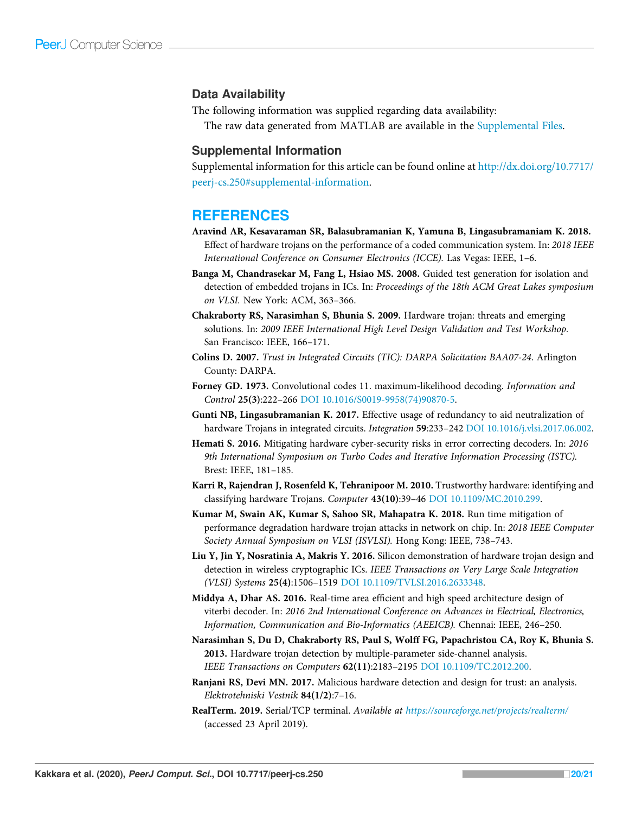#### Data Availability

The following information was supplied regarding data availability:

The raw data generated from MATLAB are available in the Supplemental Files.

#### Supplemental Information

Supplemental information for this article can be found online at http://dx.doi.org/10.7717/ peerj-cs.250#supplemental-information.

# REFERENCES

- Aravind AR, Kesavaraman SR, Balasubramanian K, Yamuna B, Lingasubramaniam K. 2018. Effect of hardware trojans on the performance of a coded communication system. In: *2018 IEEE International Conference on Consumer Electronics (ICCE).* Las Vegas: IEEE, 1–6.
- Banga M, Chandrasekar M, Fang L, Hsiao MS. 2008. Guided test generation for isolation and detection of embedded trojans in ICs. In: *Proceedings of the 18th ACM Great Lakes symposium on VLSI.* New York: ACM, 363–366.
- Chakraborty RS, Narasimhan S, Bhunia S. 2009. Hardware trojan: threats and emerging solutions. In: *2009 IEEE International High Level Design Validation and Test Workshop.* San Francisco: IEEE, 166–171.
- Colins D. 2007. *Trust in Integrated Circuits (TIC): DARPA Solicitation BAA07-24*. Arlington County: DARPA.
- Forney GD. 1973. Convolutional codes 11. maximum-likelihood decoding. *Information and Control* 25(3):222–266 DOI 10.1016/S0019-9958(74)90870-5.
- Gunti NB, Lingasubramanian K. 2017. Effective usage of redundancy to aid neutralization of hardware Trojans in integrated circuits. *Integration* 59:233–242 DOI 10.1016/j.vlsi.2017.06.002.
- Hemati S. 2016. Mitigating hardware cyber-security risks in error correcting decoders. In: *2016 9th International Symposium on Turbo Codes and Iterative Information Processing (ISTC).* Brest: IEEE, 181–185.
- Karri R, Rajendran J, Rosenfeld K, Tehranipoor M. 2010. Trustworthy hardware: identifying and classifying hardware Trojans. *Computer* 43(10):39–46 DOI 10.1109/MC.2010.299.
- Kumar M, Swain AK, Kumar S, Sahoo SR, Mahapatra K. 2018. Run time mitigation of performance degradation hardware trojan attacks in network on chip. In: *2018 IEEE Computer Society Annual Symposium on VLSI (ISVLSI).* Hong Kong: IEEE, 738–743.
- Liu Y, Jin Y, Nosratinia A, Makris Y. 2016. Silicon demonstration of hardware trojan design and detection in wireless cryptographic ICs. *IEEE Transactions on Very Large Scale Integration (VLSI) Systems* 25(4):1506–1519 DOI 10.1109/TVLSI.2016.2633348.
- Middya A, Dhar AS. 2016. Real-time area efficient and high speed architecture design of viterbi decoder. In: *2016 2nd International Conference on Advances in Electrical, Electronics, Information, Communication and Bio-Informatics (AEEICB).* Chennai: IEEE, 246–250.
- Narasimhan S, Du D, Chakraborty RS, Paul S, Wolff FG, Papachristou CA, Roy K, Bhunia S. 2013. Hardware trojan detection by multiple-parameter side-channel analysis. *IEEE Transactions on Computers* 62(11):2183–2195 DOI 10.1109/TC.2012.200.
- Ranjani RS, Devi MN. 2017. Malicious hardware detection and design for trust: an analysis. *Elektrotehniski Vestnik* 84(1/2):7–16.
- RealTerm. 2019. Serial/TCP terminal. *Available at https://sourceforge.net/projects/realterm/* (accessed 23 April 2019).